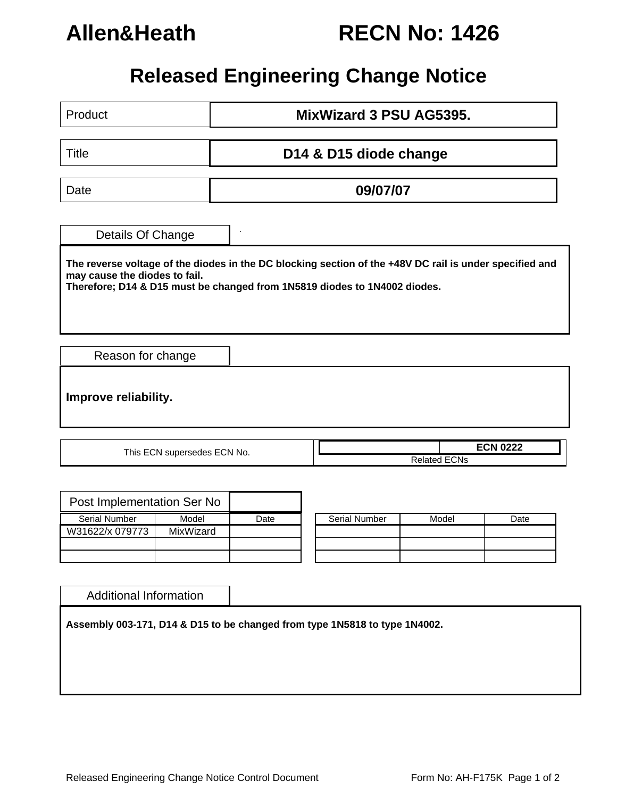

## **Allen&Heath RECN No: 1426**

## **Released Engineering Change Notice**

| MixWizard 3 PSU AG5395.<br>Product                                                                                                                                                                                    |                             |          |                      |                                        |      |  |  |  |  |
|-----------------------------------------------------------------------------------------------------------------------------------------------------------------------------------------------------------------------|-----------------------------|----------|----------------------|----------------------------------------|------|--|--|--|--|
| Title                                                                                                                                                                                                                 | D14 & D15 diode change      |          |                      |                                        |      |  |  |  |  |
| Date                                                                                                                                                                                                                  |                             | 09/07/07 |                      |                                        |      |  |  |  |  |
| Details Of Change                                                                                                                                                                                                     |                             |          |                      |                                        |      |  |  |  |  |
| The reverse voltage of the diodes in the DC blocking section of the +48V DC rail is under specified and<br>may cause the diodes to fail.<br>Therefore; D14 & D15 must be changed from 1N5819 diodes to 1N4002 diodes. |                             |          |                      |                                        |      |  |  |  |  |
|                                                                                                                                                                                                                       | Reason for change           |          |                      |                                        |      |  |  |  |  |
| Improve reliability.                                                                                                                                                                                                  |                             |          |                      |                                        |      |  |  |  |  |
|                                                                                                                                                                                                                       | This ECN supersedes ECN No. |          |                      | <b>ECN 0222</b><br><b>Related ECNs</b> |      |  |  |  |  |
| Post Implementation Ser No<br><b>Serial Number</b>                                                                                                                                                                    | Model                       | Date     | <b>Serial Number</b> | Model                                  | Date |  |  |  |  |
| W31622/x 079773                                                                                                                                                                                                       | MixWizard                   |          |                      |                                        |      |  |  |  |  |

Additional Information

**Assembly 003-171, D14 & D15 to be changed from type 1N5818 to type 1N4002.**